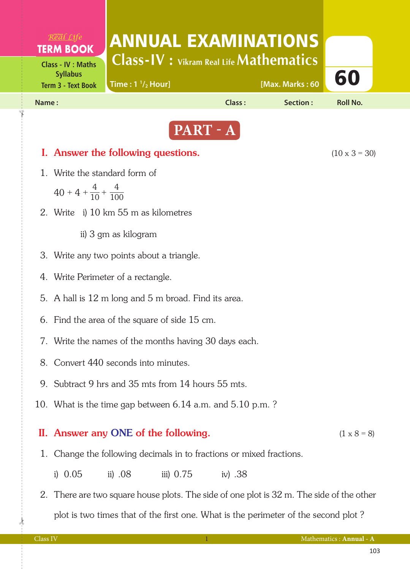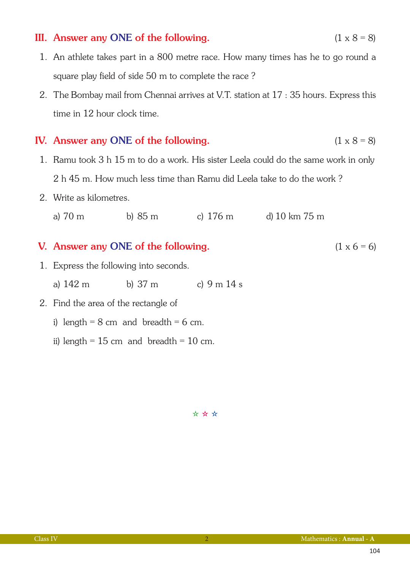### III. Answer any ONE of the following.  $(1 \times 8 = 8)$

- 1. An athlete takes part in a 800 metre race. How many times has he to go round a square play field of side 50 m to complete the race ?
- 2. The Bombay mail from Chennai arrives at V.T. station at 17 : 35 hours. Express this time in 12 hour clock time.

#### IV. Answer any ONE of the following.  $(1 \times 8 = 8)$

- 1. Ramu took 3 h 15 m to do a work. His sister Leela could do the same work in only 2 h 45 m. How much less time than Ramu did Leela take to do the work ?
- 2. Write as kilometres.
	- a) 70 m b) 85 m c) 176 m d) 10 km 75 m

#### V. Answer any ONE of the following.  $(1 \times 6 = 6)$

- 1. Express the following into seconds.
	- a) 142 m b) 37 m c) 9 m 14 s
- 2. Find the area of the rectangle of
	- i) length =  $8 \text{ cm}$  and breadth =  $6 \text{ cm}$ .
	- ii) length =  $15 \text{ cm}$  and breadth =  $10 \text{ cm}$ .

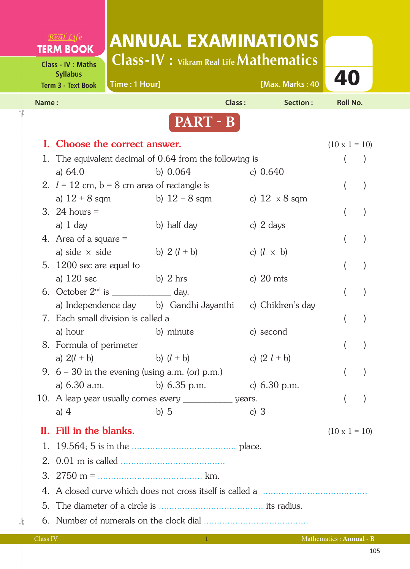# $R$ <sup>VIKRAM</sup> $C$ *ife* ANNUAL EXAMINATIONS **TERM BOOK Class-IV : Vikram Real Life Mathematics Class - IV : Maths Term 3 - Text Book Time : 1 Hour]** The set of the set of the set of the set of the set of the set of the set of the set of the set of the set of the set of the set of the set of the set of the set of the set of the set **Syllabus Time : 1 Hour] [Max. Marks : 40 Name : Class : Section : Roll No. PART - B** I. Choose the correct answer. (10 x 1 = 10) 1. The equivalent decimal of 0.64 from the following is () a) 64.0 b) 0.064 c) 0.640 2.  $l = 12$  cm,  $b = 8$  cm area of rectangle is () a)  $12 + 8$  sqm b)  $12 - 8$  sqm c)  $12 \times 8$  sqm 3. 24 hours = ( ) a) 1 day b) half day c) 2 days 4. Area of a square = ( ) a) side  $\times$  side b)  $2(l + b)$  c)  $(l \times b)$  5. 1200 sec are equal to ( ) a) 120 sec b) 2 hrs c) 20 mts 6. October  $2^{nd}$  is \_\_\_\_\_\_\_\_\_\_\_\_\_\_\_ day.  $($ a) Independence day b) Gandhi Jayanthi c) Children's day 7. Each small division is called a ( ) a) hour b) minute c) second 8. Formula of perimeter ( ) a)  $2(l + b)$  b)  $(l + b)$  c)  $(2 l + b)$ 9.  $6 - 30$  in the evening (using a.m. (or) p.m.) () a) 6.30 a.m. b) 6.35 p.m. c) 6.30 p.m. 10. A leap year usually comes every every years. The set of the set of the set of the set of the set of the set of the set of the set of the set of the set of the set of the set of the set of the set of the set of the set a) 4 b) 5 c) 3 II. Fill in the blanks.  $(10 \times 1 = 10)$  1. 19.564; 5 is in the ........................................ place. 2. 0.01 m is called ........................................ 3. 2750 m = ........................................ km. 4. A closed curve which does not cross itself is called a ........................................ 5. The diameter of a circle is ........................................ its radius. 6. Number of numerals on the clock dial ........................................ Class IV 1 Mathematics : **Annual - B**

 $\frac{1}{2}$ 

✁